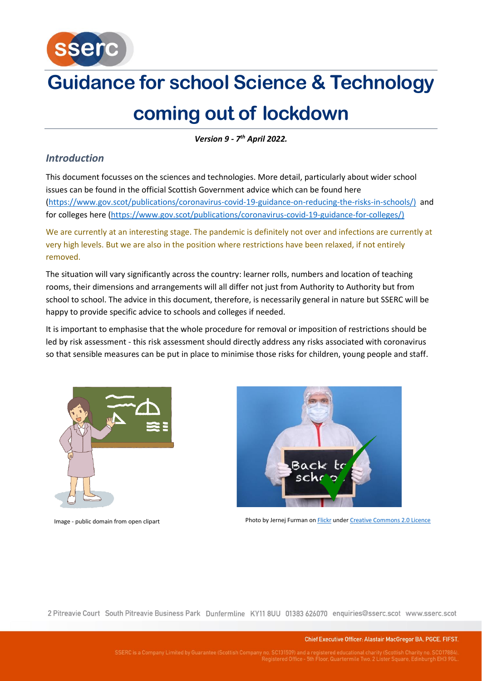

*Version 9 - 7 th April 2022.*

## *Introduction*

This document focusses on the sciences and technologies. More detail, particularly about wider school issues can be found in the official Scottish Government advice which can be found here [\(https://www.gov.scot/publications/coronavirus-covid-19-guidance-on-reducing-the-risks-in-schools/\)](https://www.gov.scot/publications/coronavirus-covid-19-guidance-on-reducing-the-risks-in-schools/) and for colleges here [\(https://www.gov.scot/publications/coronavirus-covid-19-guidance-for-colleges/\)](https://www.gov.scot/publications/coronavirus-covid-19-guidance-for-colleges/)

We are currently at an interesting stage. The pandemic is definitely not over and infections are currently at very high levels. But we are also in the position where restrictions have been relaxed, if not entirely removed.

The situation will vary significantly across the country: learner rolls, numbers and location of teaching rooms, their dimensions and arrangements will all differ not just from Authority to Authority but from school to school. The advice in this document, therefore, is necessarily general in nature but SSERC will be happy to provide specific advice to schools and colleges if needed.

It is important to emphasise that the whole procedure for removal or imposition of restrictions should be led by risk assessment - this risk assessment should directly address any risks associated with coronavirus so that sensible measures can be put in place to minimise those risks for children, young people and staff.





Image - public domain from open clipart **Photo by Jernej Furman o[n Flickr](https://www.flickr.com/photos/91261194@N06/49787269708) unde[r Creative Commons 2.0 Licence](https://creativecommons.org/licenses/by/2.0/)** 

2 Pitreavie Court South Pitreavie Business Park Dunfermline KY11 8UU 01383 626070 enquiries@sserc.scot www.sserc.scot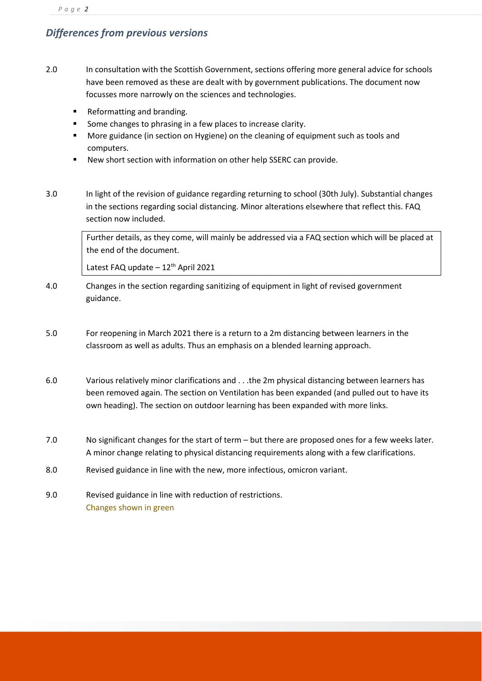# *Differences from previous versions*

- 2.0 In consultation with the Scottish Government, sections offering more general advice for schools have been removed as these are dealt with by government publications. The document now focusses more narrowly on the sciences and technologies.
	- Reformatting and branding.
	- Some changes to phrasing in a few places to increase clarity.
	- More guidance (in section on Hygiene) on the cleaning of equipment such as tools and computers.
	- New short section with information on other help SSERC can provide.
- 3.0 In light of the revision of guidance regarding returning to school (30th July). Substantial changes in the sections regarding social distancing. Minor alterations elsewhere that reflect this. FAQ section now included.

Further details, as they come, will mainly be addressed via a FAQ section which will be placed at the end of the document.

Latest FAQ update  $-12$ <sup>th</sup> April 2021

- 4.0 Changes in the section regarding sanitizing of equipment in light of revised government guidance.
- 5.0 For reopening in March 2021 there is a return to a 2m distancing between learners in the classroom as well as adults. Thus an emphasis on a blended learning approach.
- 6.0 Various relatively minor clarifications and . . .the 2m physical distancing between learners has been removed again. The section on Ventilation has been expanded (and pulled out to have its own heading). The section on outdoor learning has been expanded with more links.
- 7.0 No significant changes for the start of term but there are proposed ones for a few weeks later. A minor change relating to physical distancing requirements along with a few clarifications.
- 8.0 Revised guidance in line with the new, more infectious, omicron variant.
- 9.0 Revised guidance in line with reduction of restrictions. Changes shown in green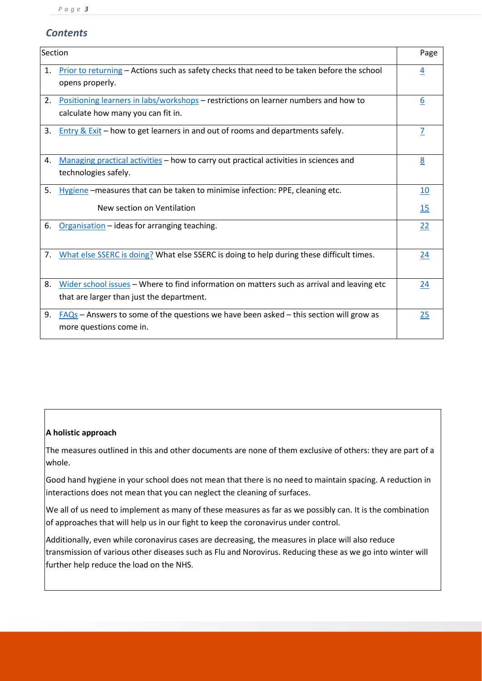# *Contents*

| Section |                                                                                                                                         | Page           |
|---------|-----------------------------------------------------------------------------------------------------------------------------------------|----------------|
| 1.      | Prior to returning - Actions such as safety checks that need to be taken before the school<br>opens properly.                           | $\overline{4}$ |
| 2.      | Positioning learners in labs/workshops – restrictions on learner numbers and how to<br>calculate how many you can fit in.               | 6              |
| 3.      | <u>Entry &amp; Exit</u> – how to get learners in and out of rooms and departments safely.                                               | $\overline{1}$ |
| 4.      | Managing practical activities – how to carry out practical activities in sciences and<br>technologies safely.                           | 8              |
| 5.      | Hygiene -measures that can be taken to minimise infection: PPE, cleaning etc.                                                           | 10             |
|         | New section on Ventilation                                                                                                              | 15             |
| 6.      | Organisation - ideas for arranging teaching.                                                                                            | 22             |
| 7.      | What else SSERC is doing? What else SSERC is doing to help during these difficult times.                                                | 24             |
| 8.      | Wider school issues - Where to find information on matters such as arrival and leaving etc<br>that are larger than just the department. | 24             |
| 9.      | $FAQs$ – Answers to some of the questions we have been asked – this section will grow as<br>more questions come in.                     | 25             |

## **A holistic approach**

The measures outlined in this and other documents are none of them exclusive of others: they are part of a whole.

Good hand hygiene in your school does not mean that there is no need to maintain spacing. A reduction in interactions does not mean that you can neglect the cleaning of surfaces.

We all of us need to implement as many of these measures as far as we possibly can. It is the combination of approaches that will help us in our fight to keep the coronavirus under control.

<span id="page-2-0"></span>Additionally, even while coronavirus cases are decreasing, the measures in place will also reduce transmission of various other diseases such as Flu and Norovirus. Reducing these as we go into winter will further help reduce the load on the NHS.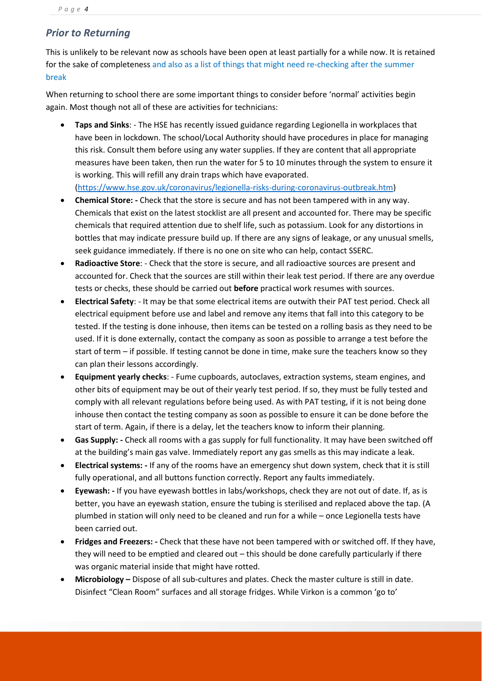## *Prior to Returning*

This is unlikely to be relevant now as schools have been open at least partially for a while now. It is retained for the sake of completeness and also as a list of things that might need re-checking after the summer break

When returning to school there are some important things to consider before 'normal' activities begin again. Most though not all of these are activities for technicians:

- **Taps and Sinks**: The HSE has recently issued guidance regarding Legionella in workplaces that have been in lockdown. The school/Local Authority should have procedures in place for managing this risk. Consult them before using any water supplies. If they are content that all appropriate measures have been taken, then run the water for 5 to 10 minutes through the system to ensure it is working. This will refill any drain traps which have evaporated. [\(https://www.hse.gov.uk/coronavirus/legionella-risks-during-coronavirus-outbreak.htm\)](https://www.hse.gov.uk/coronavirus/legionella-risks-during-coronavirus-outbreak.htm)
- **Chemical Store: -** Check that the store is secure and has not been tampered with in any way. Chemicals that exist on the latest stocklist are all present and accounted for. There may be specific chemicals that required attention due to shelf life, such as potassium. Look for any distortions in bottles that may indicate pressure build up. If there are any signs of leakage, or any unusual smells, seek guidance immediately. If there is no one on site who can help, contact SSERC.
- **Radioactive Store**: Check that the store is secure, and all radioactive sources are present and accounted for. Check that the sources are still within their leak test period. If there are any overdue tests or checks, these should be carried out **before** practical work resumes with sources.
- **Electrical Safety**: It may be that some electrical items are outwith their PAT test period. Check all electrical equipment before use and label and remove any items that fall into this category to be tested. If the testing is done inhouse, then items can be tested on a rolling basis as they need to be used. If it is done externally, contact the company as soon as possible to arrange a test before the start of term – if possible. If testing cannot be done in time, make sure the teachers know so they can plan their lessons accordingly.
- **Equipment yearly checks**: Fume cupboards, autoclaves, extraction systems, steam engines, and other bits of equipment may be out of their yearly test period. If so, they must be fully tested and comply with all relevant regulations before being used. As with PAT testing, if it is not being done inhouse then contact the testing company as soon as possible to ensure it can be done before the start of term. Again, if there is a delay, let the teachers know to inform their planning.
- **Gas Supply: -** Check all rooms with a gas supply for full functionality. It may have been switched off at the building's main gas valve. Immediately report any gas smells as this may indicate a leak.
- **Electrical systems: -** If any of the rooms have an emergency shut down system, check that it is still fully operational, and all buttons function correctly. Report any faults immediately.
- **Eyewash: -** If you have eyewash bottles in labs/workshops, check they are not out of date. If, as is better, you have an eyewash station, ensure the tubing is sterilised and replaced above the tap. (A plumbed in station will only need to be cleaned and run for a while – once Legionella tests have been carried out.
- **Fridges and Freezers: -** Check that these have not been tampered with or switched off. If they have, they will need to be emptied and cleared out – this should be done carefully particularly if there was organic material inside that might have rotted.
- **Microbiology –** Dispose of all sub-cultures and plates. Check the master culture is still in date. Disinfect "Clean Room" surfaces and all storage fridges. While Virkon is a common 'go to'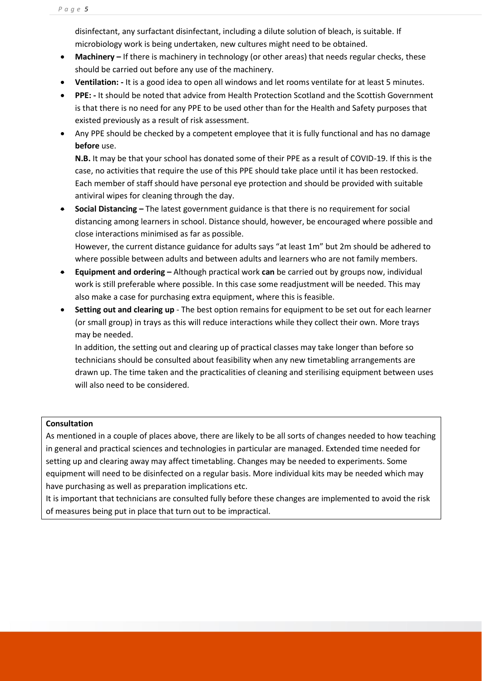disinfectant, any surfactant disinfectant, including a dilute solution of bleach, is suitable. If microbiology work is being undertaken, new cultures might need to be obtained.

- **Machinery –** If there is machinery in technology (or other areas) that needs regular checks, these should be carried out before any use of the machinery.
- **Ventilation: -** It is a good idea to open all windows and let rooms ventilate for at least 5 minutes.
- **PPE: -** It should be noted that advice from Health Protection Scotland and the Scottish Government is that there is no need for any PPE to be used other than for the Health and Safety purposes that existed previously as a result of risk assessment.
- Any PPE should be checked by a competent employee that it is fully functional and has no damage **before** use.

**N.B.** It may be that your school has donated some of their PPE as a result of COVID-19. If this is the case, no activities that require the use of this PPE should take place until it has been restocked. Each member of staff should have personal eye protection and should be provided with suitable antiviral wipes for cleaning through the day.

• **Social Distancing –** The latest government guidance is that there is no requirement for social distancing among learners in school. Distance should, however, be encouraged where possible and close interactions minimised as far as possible.

However, the current distance guidance for adults says "at least 1m" but 2m should be adhered to where possible between adults and between adults and learners who are not family members.

- **Equipment and ordering –** Although practical work **can** be carried out by groups now, individual work is still preferable where possible. In this case some readjustment will be needed. This may also make a case for purchasing extra equipment, where this is feasible.
- **Setting out and clearing up** The best option remains for equipment to be set out for each learner (or small group) in trays as this will reduce interactions while they collect their own. More trays may be needed.

In addition, the setting out and clearing up of practical classes may take longer than before so technicians should be consulted about feasibility when any new timetabling arrangements are drawn up. The time taken and the practicalities of cleaning and sterilising equipment between uses will also need to be considered.

## **Consultation**

As mentioned in a couple of places above, there are likely to be all sorts of changes needed to how teaching in general and practical sciences and technologies in particular are managed. Extended time needed for setting up and clearing away may affect timetabling. Changes may be needed to experiments. Some equipment will need to be disinfected on a regular basis. More individual kits may be needed which may have purchasing as well as preparation implications etc.

<span id="page-4-0"></span>It is important that technicians are consulted fully before these changes are implemented to avoid the risk of measures being put in place that turn out to be impractical.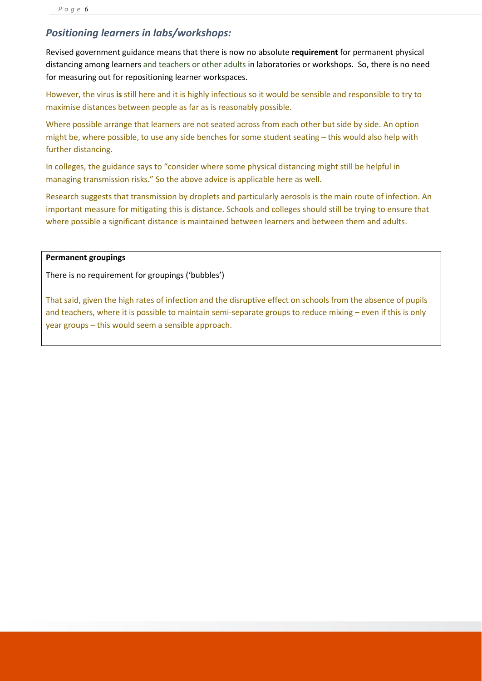# *Positioning learners in labs/workshops:*

Revised government guidance means that there is now no absolute **requirement** for permanent physical distancing among learners and teachers or other adults in laboratories or workshops. So, there is no need for measuring out for repositioning learner workspaces.

However, the virus **is** still here and it is highly infectious so it would be sensible and responsible to try to maximise distances between people as far as is reasonably possible.

Where possible arrange that learners are not seated across from each other but side by side. An option might be, where possible, to use any side benches for some student seating – this would also help with further distancing.

In colleges, the guidance says to "consider where some physical distancing might still be helpful in managing transmission risks." So the above advice is applicable here as well.

Research suggests that transmission by droplets and particularly aerosols is the main route of infection. An important measure for mitigating this is distance. Schools and colleges should still be trying to ensure that where possible a significant distance is maintained between learners and between them and adults.

## **Permanent groupings**

There is no requirement for groupings ('bubbles')

That said, given the high rates of infection and the disruptive effect on schools from the absence of pupils and teachers, where it is possible to maintain semi-separate groups to reduce mixing – even if this is only year groups – this would seem a sensible approach.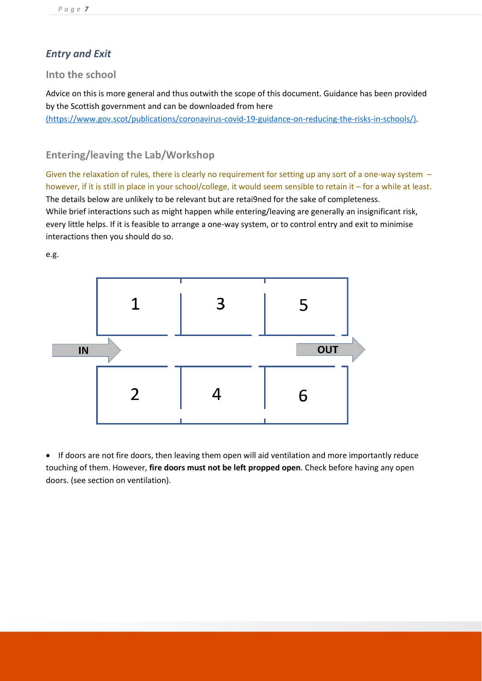# <span id="page-6-0"></span>*Entry and Exit*

## **Into the school**

Advice on this is more general and thus outwith the scope of this document. Guidance has been provided by the Scottish government and can be downloaded from here [\(https://www.gov.scot/publications/coronavirus-covid-19-guidance-on-reducing-the-risks-in-schools/\).](https://ssercltd-my.sharepoint.com/personal/chris_lloyd_sserc_scot/Documents/H&S/2-Covid-19/(https:/www.gov.scot/publications/coronavirus-covid-19-guidance-on-reducing-the-risks-in-schools/))

# **Entering/leaving the Lab/Workshop**

Given the relaxation of rules, there is clearly no requirement for setting up any sort of a one-way system – however, if it is still in place in your school/college, it would seem sensible to retain it – for a while at least. The details below are unlikely to be relevant but are retai9ned for the sake of completeness. While brief interactions such as might happen while entering/leaving are generally an insignificant risk, every little helps. If it is feasible to arrange a one-way system, or to control entry and exit to minimise interactions then you should do so.

e.g.



• If doors are not fire doors, then leaving them open will aid ventilation and more importantly reduce touching of them. However, **fire doors must not be left propped open**. Check before having any open doors. (see section on ventilation).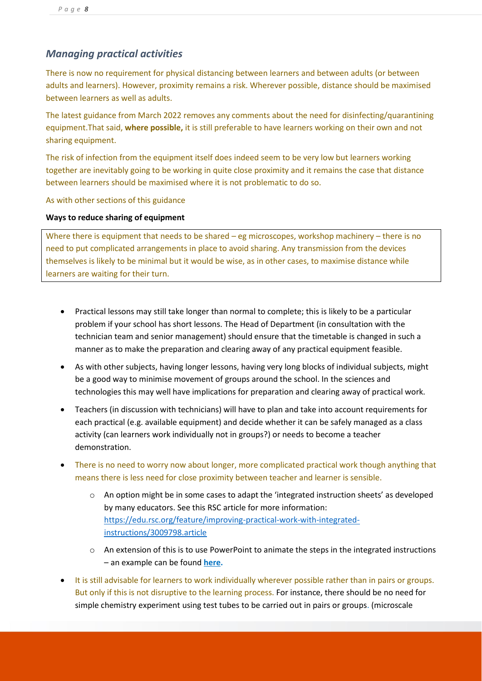# <span id="page-7-0"></span>*Managing practical activities*

There is now no requirement for physical distancing between learners and between adults (or between adults and learners). However, proximity remains a risk. Wherever possible, distance should be maximised between learners as well as adults.

The latest guidance from March 2022 removes any comments about the need for disinfecting/quarantining equipment.That said, **where possible,** it is still preferable to have learners working on their own and not sharing equipment.

The risk of infection from the equipment itself does indeed seem to be very low but learners working together are inevitably going to be working in quite close proximity and it remains the case that distance between learners should be maximised where it is not problematic to do so.

As with other sections of this guidance

# **Ways to reduce sharing of equipment**

Where there is equipment that needs to be shared – eg microscopes, workshop machinery – there is no need to put complicated arrangements in place to avoid sharing. Any transmission from the devices themselves is likely to be minimal but it would be wise, as in other cases, to maximise distance while learners are waiting for their turn.

- Practical lessons may still take longer than normal to complete; this is likely to be a particular problem if your school has short lessons. The Head of Department (in consultation with the technician team and senior management) should ensure that the timetable is changed in such a manner as to make the preparation and clearing away of any practical equipment feasible.
- As with other subjects, having longer lessons, having very long blocks of individual subjects, might be a good way to minimise movement of groups around the school. In the sciences and technologies this may well have implications for preparation and clearing away of practical work.
- Teachers (in discussion with technicians) will have to plan and take into account requirements for each practical (e.g. available equipment) and decide whether it can be safely managed as a class activity (can learners work individually not in groups?) or needs to become a teacher demonstration.
- There is no need to worry now about longer, more complicated practical work though anything that means there is less need for close proximity between teacher and learner is sensible.
	- $\circ$  An option might be in some cases to adapt the 'integrated instruction sheets' as developed by many educators. See this RSC article for more information: [https://edu.rsc.org/feature/improving-practical-work-with-integrated](https://edu.rsc.org/feature/improving-practical-work-with-integrated-instructions/3009798.article)[instructions/3009798.article](https://edu.rsc.org/feature/improving-practical-work-with-integrated-instructions/3009798.article)
	- o An extension of this is to use PowerPoint to animate the steps in the integrated instructions – an example can be found **[here.](https://www.sserc.org.uk/subject-areas/chemistry/chemistry-resources/cognitive-load/)**
- It is still advisable for learners to work individually wherever possible rather than in pairs or groups. But only if this is not disruptive to the learning process. For instance, there should be no need for simple chemistry experiment using test tubes to be carried out in pairs or groups. (microscale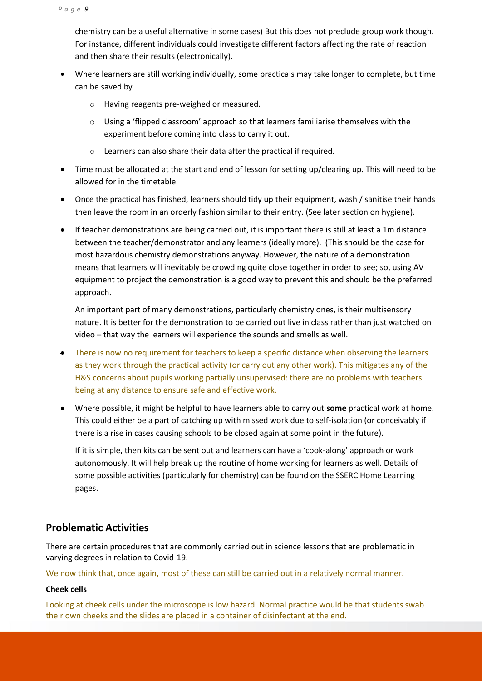chemistry can be a useful alternative in some cases) But this does not preclude group work though. For instance, different individuals could investigate different factors affecting the rate of reaction and then share their results (electronically).

- Where learners are still working individually, some practicals may take longer to complete, but time can be saved by
	- o Having reagents pre-weighed or measured.
	- o Using a 'flipped classroom' approach so that learners familiarise themselves with the experiment before coming into class to carry it out.
	- o Learners can also share their data after the practical if required.
- Time must be allocated at the start and end of lesson for setting up/clearing up. This will need to be allowed for in the timetable.
- Once the practical has finished, learners should tidy up their equipment, wash / sanitise their hands then leave the room in an orderly fashion similar to their entry. (See later section on hygiene).
- If teacher demonstrations are being carried out, it is important there is still at least a 1m distance between the teacher/demonstrator and any learners (ideally more). (This should be the case for most hazardous chemistry demonstrations anyway. However, the nature of a demonstration means that learners will inevitably be crowding quite close together in order to see; so, using AV equipment to project the demonstration is a good way to prevent this and should be the preferred approach.

An important part of many demonstrations, particularly chemistry ones, is their multisensory nature. It is better for the demonstration to be carried out live in class rather than just watched on video – that way the learners will experience the sounds and smells as well.

- There is now no requirement for teachers to keep a specific distance when observing the learners as they work through the practical activity (or carry out any other work). This mitigates any of the H&S concerns about pupils working partially unsupervised: there are no problems with teachers being at any distance to ensure safe and effective work.
- Where possible, it might be helpful to have learners able to carry out **some** practical work at home. This could either be a part of catching up with missed work due to self-isolation (or conceivably if there is a rise in cases causing schools to be closed again at some point in the future).

<span id="page-8-0"></span>If it is simple, then kits can be sent out and learners can have a 'cook-along' approach or work autonomously. It will help break up the routine of home working for learners as well. Details of some possible activities (particularly for chemistry) can be found on the SSERC Home Learning pages.

## **Problematic Activities**

There are certain procedures that are commonly carried out in science lessons that are problematic in varying degrees in relation to Covid-19.

We now think that, once again, most of these can still be carried out in a relatively normal manner.

## **Cheek cells**

Looking at cheek cells under the microscope is low hazard. Normal practice would be that students swab their own cheeks and the slides are placed in a container of disinfectant at the end.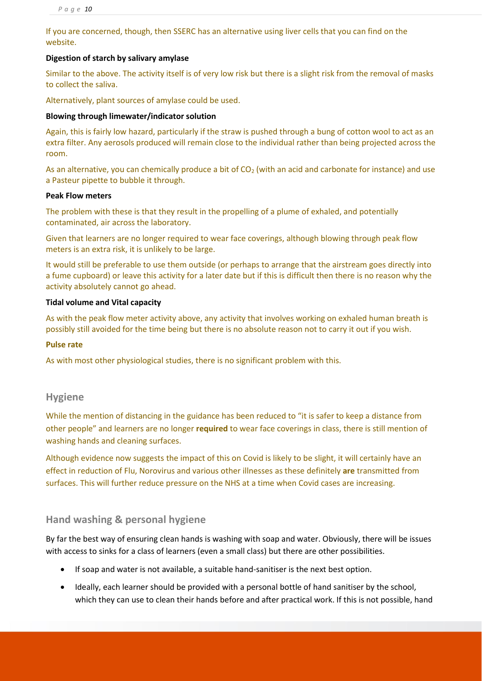If you are concerned, though, then SSERC has an alternative using liver cells that you can find on the website.

#### **Digestion of starch by salivary amylase**

Similar to the above. The activity itself is of very low risk but there is a slight risk from the removal of masks to collect the saliva.

Alternatively, plant sources of amylase could be used.

#### **Blowing through limewater/indicator solution**

Again, this is fairly low hazard, particularly if the straw is pushed through a bung of cotton wool to act as an extra filter. Any aerosols produced will remain close to the individual rather than being projected across the room.

As an alternative, you can chemically produce a bit of CO<sub>2</sub> (with an acid and carbonate for instance) and use a Pasteur pipette to bubble it through.

#### **Peak Flow meters**

The problem with these is that they result in the propelling of a plume of exhaled, and potentially contaminated, air across the laboratory.

Given that learners are no longer required to wear face coverings, although blowing through peak flow meters is an extra risk, it is unlikely to be large.

It would still be preferable to use them outside (or perhaps to arrange that the airstream goes directly into a fume cupboard) or leave this activity for a later date but if this is difficult then there is no reason why the activity absolutely cannot go ahead.

#### **Tidal volume and Vital capacity**

As with the peak flow meter activity above, any activity that involves working on exhaled human breath is possibly still avoided for the time being but there is no absolute reason not to carry it out if you wish.

#### **Pulse rate**

As with most other physiological studies, there is no significant problem with this.

## **Hygiene**

While the mention of distancing in the guidance has been reduced to "it is safer to keep a distance from other people" and learners are no longer **required** to wear face coverings in class, there is still mention of washing hands and cleaning surfaces.

Although evidence now suggests the impact of this on Covid is likely to be slight, it will certainly have an effect in reduction of Flu, Norovirus and various other illnesses as these definitely **are** transmitted from surfaces. This will further reduce pressure on the NHS at a time when Covid cases are increasing.

## **Hand washing & personal hygiene**

By far the best way of ensuring clean hands is washing with soap and water. Obviously, there will be issues with access to sinks for a class of learners (even a small class) but there are other possibilities.

- If soap and water is not available, a suitable hand-sanitiser is the next best option.
- Ideally, each learner should be provided with a personal bottle of hand sanitiser by the school, which they can use to clean their hands before and after practical work. If this is not possible, hand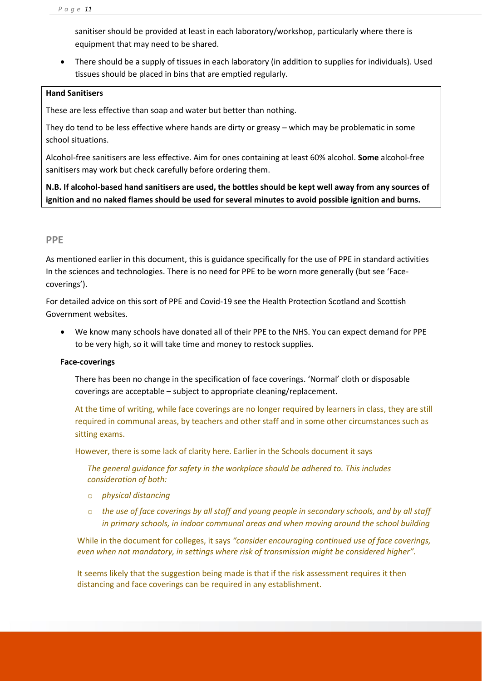sanitiser should be provided at least in each laboratory/workshop, particularly where there is equipment that may need to be shared.

• There should be a supply of tissues in each laboratory (in addition to supplies for individuals). Used tissues should be placed in bins that are emptied regularly.

#### **Hand Sanitisers**

These are less effective than soap and water but better than nothing.

They do tend to be less effective where hands are dirty or greasy – which may be problematic in some school situations.

Alcohol-free sanitisers are less effective. Aim for ones containing at least 60% alcohol. **Some** alcohol-free sanitisers may work but check carefully before ordering them.

**N.B. If alcohol-based hand sanitisers are used, the bottles should be kept well away from any sources of ignition and no naked flames should be used for several minutes to avoid possible ignition and burns.**

## **PPE**

As mentioned earlier in this document, this is guidance specifically for the use of PPE in standard activities In the sciences and technologies. There is no need for PPE to be worn more generally (but see 'Facecoverings').

For detailed advice on this sort of PPE and Covid-19 see the Health Protection Scotland and Scottish Government websites.

• We know many schools have donated all of their PPE to the NHS. You can expect demand for PPE to be very high, so it will take time and money to restock supplies.

## **Face-coverings**

There has been no change in the specification of face coverings. 'Normal' cloth or disposable coverings are acceptable – subject to appropriate cleaning/replacement.

At the time of writing, while face coverings are no longer required by learners in class, they are still required in communal areas, by teachers and other staff and in some other circumstances such as sitting exams.

However, there is some lack of clarity here. Earlier in the Schools document it says

*The general guidance for safety in the workplace should be adhered to. This includes consideration of both:*

- o *physical distancing*
- o *the use of face coverings by all staff and young people in secondary schools, and by all staff in primary schools, in indoor communal areas and when moving around the school building*

While in the document for colleges, it says *"consider encouraging continued use of face coverings, even when not mandatory, in settings where risk of transmission might be considered higher".*

It seems likely that the suggestion being made is that if the risk assessment requires it then distancing and face coverings can be required in any establishment.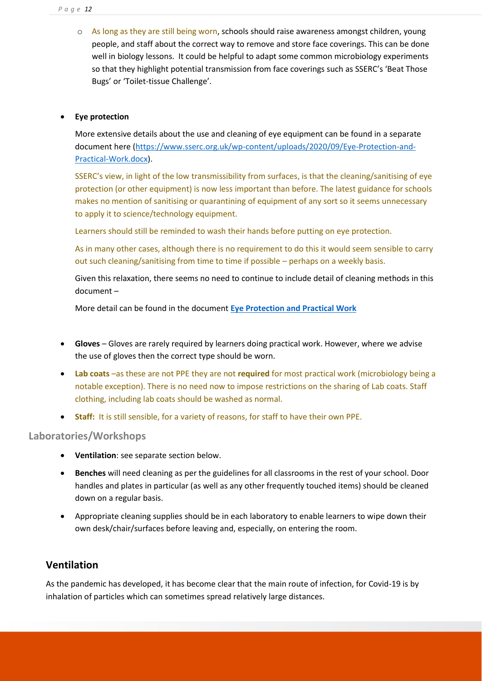o As long as they are still being worn, schools should raise awareness amongst children, young people, and staff about the correct way to remove and store face coverings. This can be done well in biology lessons. It could be helpful to adapt some common microbiology experiments so that they highlight potential transmission from face coverings such as SSERC's 'Beat Those Bugs' or 'Toilet-tissue Challenge'.

## • **Eye protection**

More extensive details about the use and cleaning of eye equipment can be found in a separate document here [\(https://www.sserc.org.uk/wp-content/uploads/2020/09/Eye-Protection-and-](https://www.sserc.org.uk/wp-content/uploads/2020/09/Eye-Protection-and-Practical-Work.docx)[Practical-Work.docx\)](https://www.sserc.org.uk/wp-content/uploads/2020/09/Eye-Protection-and-Practical-Work.docx).

SSERC's view, in light of the low transmissibility from surfaces, is that the cleaning/sanitising of eye protection (or other equipment) is now less important than before. The latest guidance for schools makes no mention of sanitising or quarantining of equipment of any sort so it seems unnecessary to apply it to science/technology equipment.

Learners should still be reminded to wash their hands before putting on eye protection.

As in many other cases, although there is no requirement to do this it would seem sensible to carry out such cleaning/sanitising from time to time if possible – perhaps on a weekly basis.

Given this relaxation, there seems no need to continue to include detail of cleaning methods in this document –

More detail can be found in the document **[Eye Protection and Practical Work](https://2g1hrx40gw3t1oo1bvqfy70u-wpengine.netdna-ssl.com/wp-content/uploads/2020/09/Eye-Protection-and-Practical-Work.docx)**

- **Gloves** Gloves are rarely required by learners doing practical work. However, where we advise the use of gloves then the correct type should be worn.
- **Lab coats** –as these are not PPE they are not **required** for most practical work (microbiology being a notable exception). There is no need now to impose restrictions on the sharing of Lab coats. Staff clothing, including lab coats should be washed as normal.
- **Staff:** It is still sensible, for a variety of reasons, for staff to have their own PPE.

## **Laboratories/Workshops**

- **Ventilation**: see separate section below.
- **Benches** will need cleaning as per the guidelines for all classrooms in the rest of your school. Door handles and plates in particular (as well as any other frequently touched items) should be cleaned down on a regular basis.
- <span id="page-11-0"></span>• Appropriate cleaning supplies should be in each laboratory to enable learners to wipe down their own desk/chair/surfaces before leaving and, especially, on entering the room.

# **Ventilation**

As the pandemic has developed, it has become clear that the main route of infection, for Covid-19 is by inhalation of particles which can sometimes spread relatively large distances.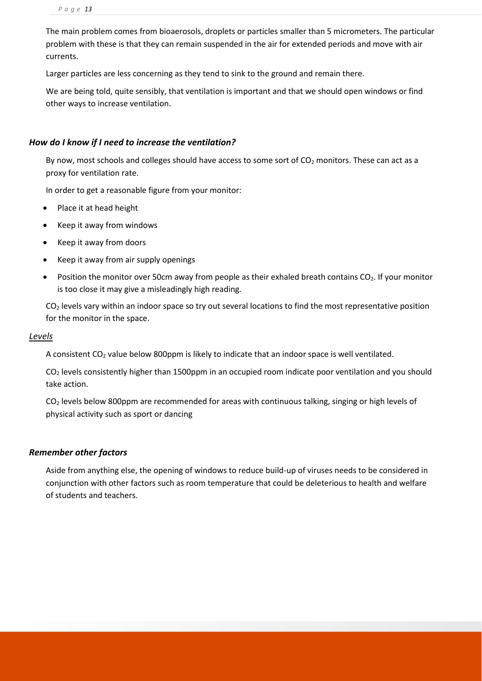The main problem comes from bioaerosols, droplets or particles smaller than 5 micrometers. The particular problem with these is that they can remain suspended in the air for extended periods and move with air currents.

Larger particles are less concerning as they tend to sink to the ground and remain there.

We are being told, quite sensibly, that ventilation is important and that we should open windows or find other ways to increase ventilation.

#### *How do I know if I need to increase the ventilation?*

By now, most schools and colleges should have access to some sort of  $CO<sub>2</sub>$  monitors. These can act as a proxy for ventilation rate.

In order to get a reasonable figure from your monitor:

- Place it at head height
- Keep it away from windows
- Keep it away from doors
- Keep it away from air supply openings
- Position the monitor over 50cm away from people as their exhaled breath contains CO<sub>2</sub>. If your monitor is too close it may give a misleadingly high reading.

 $CO<sub>2</sub>$  levels vary within an indoor space so try out several locations to find the most representative position for the monitor in the space.

#### *Levels*

A consistent CO<sup>2</sup> value below 800ppm is likely to indicate that an indoor space is well ventilated.

 $CO<sub>2</sub>$  levels consistently higher than 1500ppm in an occupied room indicate poor ventilation and you should take action.

 $CO<sub>2</sub>$  levels below 800ppm are recommended for areas with continuous talking, singing or high levels of physical activity such as sport or dancing

## *Remember other factors*

Aside from anything else, the opening of windows to reduce build-up of viruses needs to be considered in conjunction with other factors such as room temperature that could be deleterious to health and welfare of students and teachers.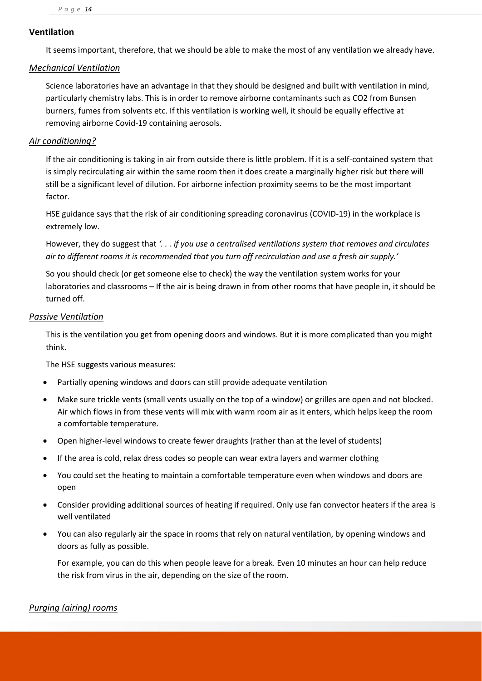## **Ventilation**

It seems important, therefore, that we should be able to make the most of any ventilation we already have.

## *Mechanical Ventilation*

Science laboratories have an advantage in that they should be designed and built with ventilation in mind, particularly chemistry labs. This is in order to remove airborne contaminants such as CO2 from Bunsen burners, fumes from solvents etc. If this ventilation is working well, it should be equally effective at removing airborne Covid-19 containing aerosols.

## *Air conditioning?*

If the air conditioning is taking in air from outside there is little problem. If it is a self-contained system that is simply recirculating air within the same room then it does create a marginally higher risk but there will still be a significant level of dilution. For airborne infection proximity seems to be the most important factor.

HSE guidance says that the risk of air conditioning spreading coronavirus (COVID-19) in the workplace is extremely low.

However, they do suggest that *'. . . if you use a centralised ventilations system that removes and circulates air to different rooms it is recommended that you turn off recirculation and use a fresh air supply.'*

So you should check (or get someone else to check) the way the ventilation system works for your laboratories and classrooms – If the air is being drawn in from other rooms that have people in, it should be turned off.

## *Passive Ventilation*

This is the ventilation you get from opening doors and windows. But it is more complicated than you might think.

The HSE suggests various measures:

- Partially opening windows and doors can still provide adequate ventilation
- Make sure trickle vents (small vents usually on the top of a window) or grilles are open and not blocked. Air which flows in from these vents will mix with warm room air as it enters, which helps keep the room a comfortable temperature.
- Open higher-level windows to create fewer draughts (rather than at the level of students)
- If the area is cold, relax dress codes so people can wear extra layers and warmer clothing
- You could set the heating to maintain a comfortable temperature even when windows and doors are open
- Consider providing additional sources of heating if required. Only use fan convector heaters if the area is well ventilated
- You can also regularly air the space in rooms that rely on natural ventilation, by opening windows and doors as fully as possible.

For example, you can do this when people leave for a break. Even 10 minutes an hour can help reduce the risk from virus in the air, depending on the size of the room.

## *Purging (airing) rooms*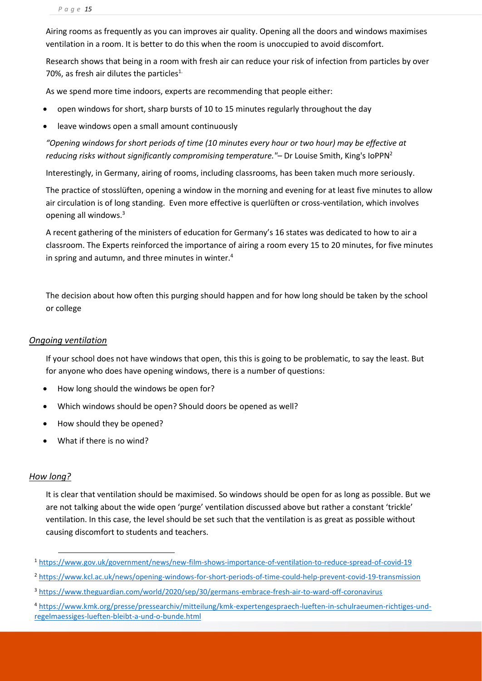Airing rooms as frequently as you can improves air quality. Opening all the doors and windows maximises ventilation in a room. It is better to do this when the room is unoccupied to avoid discomfort.

Research shows that being in a room with fresh air can reduce your risk of infection from particles by over 70%, as fresh air dilutes the particles<sup>1.</sup>

As we spend more time indoors, experts are recommending that people either:

- open windows for short, sharp bursts of 10 to 15 minutes regularly throughout the day
- leave windows open a small amount continuously

*"Opening windows for short periods of time (10 minutes every hour or two hour) may be effective at reducing risks without significantly compromising temperature."–* Dr Louise Smith, King's IoPPN<sup>2</sup>

Interestingly, in Germany, airing of rooms, including classrooms, has been taken much more seriously.

The practice of stosslüften, opening a window in the morning and evening for at least five minutes to allow air circulation is of long standing. Even more effective is querlüften or cross-ventilation, which involves opening all windows.<sup>3</sup>

A recent gathering of the ministers of education for Germany's 16 states [was dedicated to how to air a](https://www.kmk.org/presse/pressearchiv/mitteilung/kmk-expertengespraech-lueften-in-schulraeumen-richtiges-und-regelmaessiges-lueften-bleibt-a-und-o-bunde.html)  [classroom.](https://www.kmk.org/presse/pressearchiv/mitteilung/kmk-expertengespraech-lueften-in-schulraeumen-richtiges-und-regelmaessiges-lueften-bleibt-a-und-o-bunde.html) The Experts reinforced the importance of airing a room every 15 to 20 minutes, for five minutes in spring and autumn, and three minutes in winter.<sup>4</sup>

The decision about how often this purging should happen and for how long should be taken by the school or college

#### *Ongoing ventilation*

If your school does not have windows that open, this this is going to be problematic, to say the least. But for anyone who does have opening windows, there is a number of questions:

- How long should the windows be open for?
- Which windows should be open? Should doors be opened as well?
- How should they be opened?
- What if there is no wind?

#### *How long?*

It is clear that ventilation should be maximised. So windows should be open for as long as possible. But we are not talking about the wide open 'purge' ventilation discussed above but rather a constant 'trickle' ventilation. In this case, the level should be set such that the ventilation is as great as possible without causing discomfort to students and teachers.

<sup>1</sup> <https://www.gov.uk/government/news/new-film-shows-importance-of-ventilation-to-reduce-spread-of-covid-19>

<sup>2</sup> <https://www.kcl.ac.uk/news/opening-windows-for-short-periods-of-time-could-help-prevent-covid-19-transmission>

<sup>3</sup> <https://www.theguardian.com/world/2020/sep/30/germans-embrace-fresh-air-to-ward-off-coronavirus>

<sup>4</sup> [https://www.kmk.org/presse/pressearchiv/mitteilung/kmk-expertengespraech-lueften-in-schulraeumen-richtiges-und](https://www.kmk.org/presse/pressearchiv/mitteilung/kmk-expertengespraech-lueften-in-schulraeumen-richtiges-und-regelmaessiges-lueften-bleibt-a-und-o-bunde.html)[regelmaessiges-lueften-bleibt-a-und-o-bunde.html](https://www.kmk.org/presse/pressearchiv/mitteilung/kmk-expertengespraech-lueften-in-schulraeumen-richtiges-und-regelmaessiges-lueften-bleibt-a-und-o-bunde.html)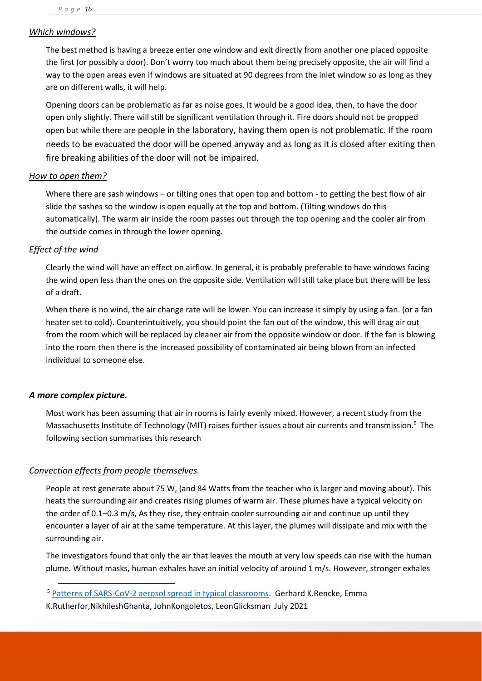## *Which windows?*

The best method is having a breeze enter one window and exit directly from another one placed opposite the first (or possibly a door). Don't worry too much about them being precisely opposite, the air will find a way to the open areas even if windows are situated at 90 degrees from the inlet window so as long as they are on different walls, it will help.

Opening doors can be problematic as far as noise goes. It would be a good idea, then, to have the door open only slightly. There will still be significant ventilation through it. Fire doors should not be propped open but while there are people in the laboratory, having them open is not problematic. If the room needs to be evacuated the door will be opened anyway and as long as it is closed after exiting then fire breaking abilities of the door will not be impaired.

## *How to open them?*

Where there are sash windows – or tilting ones that open top and bottom - to getting the best flow of air slide the sashes so the window is open equally at the top and bottom. (Tilting windows do this automatically). The warm air inside the room passes out through the top opening and the cooler air from the outside comes in through the lower opening.

## *Effect of the wind*

Clearly the wind will have an effect on airflow. In general, it is probably preferable to have windows facing the wind open less than the ones on the opposite side. Ventilation will still take place but there will be less of a draft.

When there is no wind, the air change rate will be lower. You can increase it simply by using a fan. (or a fan heater set to cold). Counterintuitively, you should point the fan out of the window, this will drag air out from the room which will be replaced by cleaner air from the opposite window or door. If the fan is blowing into the room then there is the increased possibility of contaminated air being blown from an infected individual to someone else.

## *A more complex picture.*

Most work has been assuming that air in rooms is fairly evenly mixed. However, a recent study from the Massachusetts Institute of Technology (MIT) raises further issues about air currents and transmission.<sup>5</sup> The following section summarises this research

## *Convection effects from people themselves.*

People at rest generate about 75 W, (and 84 Watts from the teacher who is larger and moving about). This heats the surrounding air and creates rising plumes of warm air. These plumes have a typical velocity on the order of 0.1–0.3 m/s, As they rise, they entrain cooler surrounding air and continue up until they encounter a layer of air at the same temperature. At this layer, the plumes will dissipate and mix with the surrounding air.

The investigators found that only the air that leaves the mouth at very low speeds can rise with the human plume. Without masks, human exhales have an initial velocity of around 1 m/s. However, stronger exhales

- <sup>5</sup> [Patterns of SARS-CoV-2 aerosol spread in typical classrooms.](https://www.ncbi.nlm.nih.gov/pmc/articles/PMC8294611/) Gerhard K.Rencke, Emma
- K.Rutherfor,NikhileshGhanta, JohnKongoletos, LeonGlicksman July 2021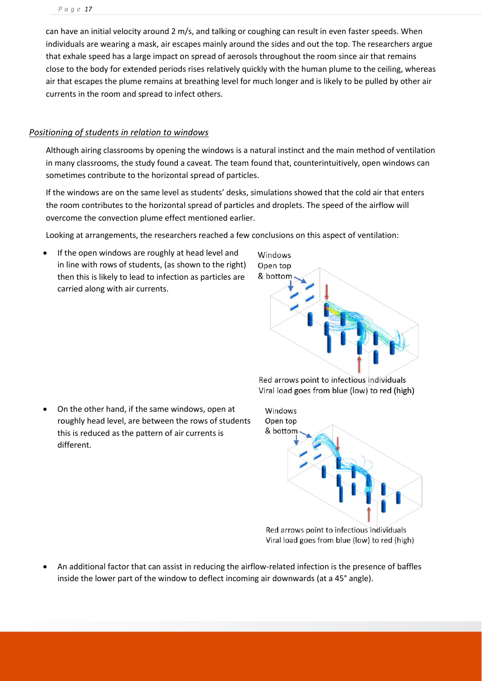can have an initial velocity around 2 m/s, and talking or coughing can result in even faster speeds. When individuals are wearing a mask, air escapes mainly around the sides and out the top. The researchers argue that exhale speed has a large impact on spread of aerosols throughout the room since air that remains close to the body for extended periods rises relatively quickly with the human plume to the ceiling, whereas air that escapes the plume remains at breathing level for much longer and is likely to be pulled by other air currents in the room and spread to infect others.

## *Positioning of students in relation to windows*

Although airing classrooms by opening the windows is a natural instinct and the main method of ventilation in many classrooms, the study found a caveat. The team found that, counterintuitively, open windows can sometimes contribute to the horizontal spread of particles.

If the windows are on the same level as students' desks, simulations showed that the cold air that enters the room contributes to the horizontal spread of particles and droplets. The speed of the airflow will overcome the convection plume effect mentioned earlier.

Looking at arrangements, the researchers reached a few conclusions on this aspect of ventilation:

If the open windows are roughly at head level and in line with rows of students, (as shown to the right) then this is likely to lead to infection as particles are carried along with air currents.



Red arrows point to infectious individuals Viral load goes from blue (low) to red (high)

• On the other hand, if the same windows, open at roughly head level, are between the rows of students this is reduced as the pattern of air currents is different.



Red arrows point to infectious individuals Viral load goes from blue (low) to red (high)

• An additional factor that can assist in reducing the airflow-related infection is the presence of baffles inside the lower part of the window to deflect incoming air downwards (at a 45° angle).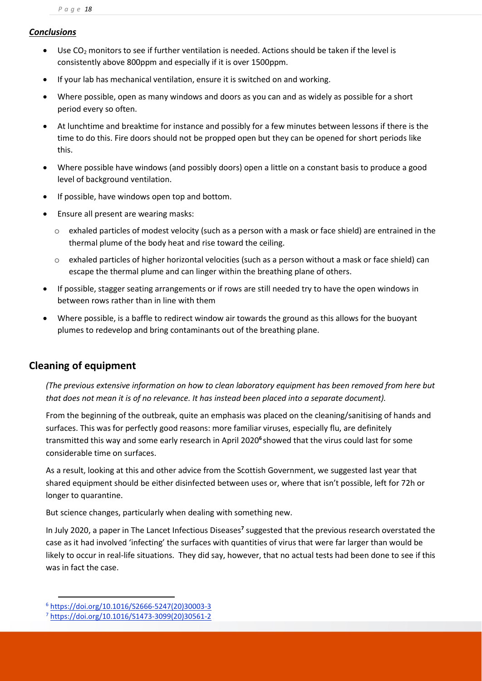## *Conclusions*

- Use  $CO<sub>2</sub>$  monitors to see if further ventilation is needed. Actions should be taken if the level is consistently above 800ppm and especially if it is over 1500ppm.
- If your lab has mechanical ventilation, ensure it is switched on and working.
- Where possible, open as many windows and doors as you can and as widely as possible for a short period every so often.
- At lunchtime and breaktime for instance and possibly for a few minutes between lessons if there is the time to do this. Fire doors should not be propped open but they can be opened for short periods like this.
- Where possible have windows (and possibly doors) open a little on a constant basis to produce a good level of background ventilation.
- If possible, have windows open top and bottom.
- Ensure all present are wearing masks:
	- $\circ$  exhaled particles of modest velocity (such as a person with a mask or face shield) are entrained in the thermal plume of the body heat and rise toward the ceiling.
	- o exhaled particles of higher horizontal velocities (such as a person without a mask or face shield) can escape the thermal plume and can linger within the breathing plane of others.
- If possible, stagger seating arrangements or if rows are still needed try to have the open windows in between rows rather than in line with them
- Where possible, is a baffle to redirect window air towards the ground as this allows for the buoyant plumes to redevelop and bring contaminants out of the breathing plane.

# **Cleaning of equipment**

*(The previous extensive information on how to clean laboratory equipment has been removed from here but that does not mean it is of no relevance. It has instead been placed into a separate document).*

From the beginning of the outbreak, quite an emphasis was placed on the cleaning/sanitising of hands and surfaces. This was for perfectly good reasons: more familiar viruses, especially flu, are definitely transmitted this way and some early research in April 2020**<sup>6</sup>** showed that the virus could last for some considerable time on surfaces.

As a result, looking at this and other advice from the Scottish Government, we suggested last year that shared equipment should be either disinfected between uses or, where that isn't possible, left for 72h or longer to quarantine.

But science changes, particularly when dealing with something new.

In July 2020, a paper in The Lancet Infectious Diseases**<sup>7</sup>** suggested that the previous research overstated the case as it had involved 'infecting' the surfaces with quantities of virus that were far larger than would be likely to occur in real-life situations. They did say, however, that no actual tests had been done to see if this was in fact the case.

<sup>6</sup> [https://doi.org/10.1016/S2666-5247\(20\)30003-3](https://doi.org/10.1016/S2666-5247(20)30003-3)

<sup>7</sup> [https://doi.org/10.1016/S1473-3099\(20\)30561-2](https://doi.org/10.1016/S1473-3099(20)30561-2)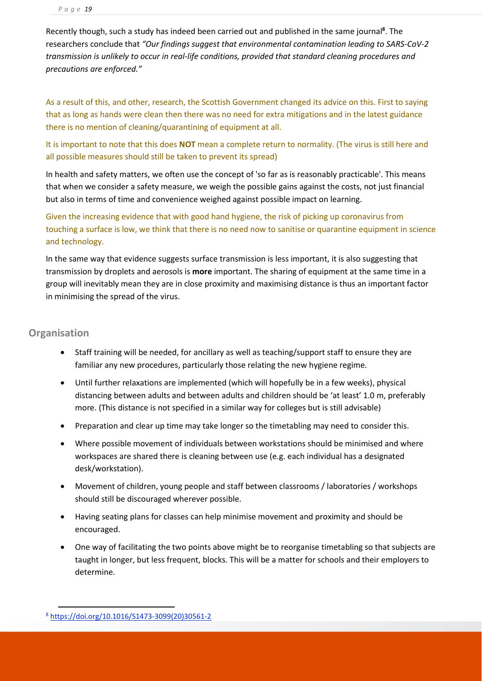Recently though, such a study has indeed been carried out and published in the same journal**<sup>8</sup>** . The researchers conclude that *"Our findings suggest that environmental contamination leading to SARS-CoV-2 transmission is unlikely to occur in real-life conditions, provided that standard cleaning procedures and precautions are enforced."*

As a result of this, and other, research, the Scottish Government changed its advice on this. First to saying that as long as hands were clean then there was no need for extra mitigations and in the latest guidance there is no mention of cleaning/quarantining of equipment at all.

It is important to note that this does **NOT** mean a complete return to normality. (The virus is still here and all possible measures should still be taken to prevent its spread)

In health and safety matters, we often use the concept of 'so far as is reasonably practicable'. This means that when we consider a safety measure, we weigh the possible gains against the costs, not just financial but also in terms of time and convenience weighed against possible impact on learning.

Given the increasing evidence that with good hand hygiene, the risk of picking up coronavirus from touching a surface is low, we think that there is no need now to sanitise or quarantine equipment in science and technology.

In the same way that evidence suggests surface transmission is less important, it is also suggesting that transmission by droplets and aerosols is **more** important. The sharing of equipment at the same time in a group will inevitably mean they are in close proximity and maximising distance is thus an important factor in minimising the spread of the virus.

## <span id="page-18-0"></span>**Organisation**

- Staff training will be needed, for ancillary as well as teaching/support staff to ensure they are familiar any new procedures, particularly those relating the new hygiene regime.
- Until further relaxations are implemented (which will hopefully be in a few weeks), physical distancing between adults and between adults and children should be 'at least' 1.0 m, preferably more. (This distance is not specified in a similar way for colleges but is still advisable)
- Preparation and clear up time may take longer so the timetabling may need to consider this.
- Where possible movement of individuals between workstations should be minimised and where workspaces are shared there is cleaning between use (e.g. each individual has a designated desk/workstation).
- Movement of children, young people and staff between classrooms / laboratories / workshops should still be discouraged wherever possible.
- Having seating plans for classes can help minimise movement and proximity and should be encouraged.
- One way of facilitating the two points above might be to reorganise timetabling so that subjects are taught in longer, but less frequent, blocks. This will be a matter for schools and their employers to determine.

<sup>8</sup> [https://doi.org/10.1016/S1473-3099\(20\)30561-2](https://doi.org/10.1016/S1473-3099(20)30561-2)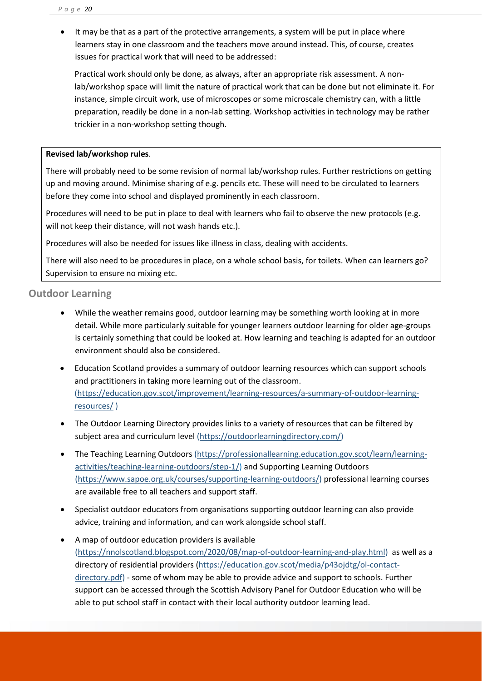• It may be that as a part of the protective arrangements, a system will be put in place where learners stay in one classroom and the teachers move around instead. This, of course, creates issues for practical work that will need to be addressed:

Practical work should only be done, as always, after an appropriate risk assessment. A nonlab/workshop space will limit the nature of practical work that can be done but not eliminate it. For instance, simple circuit work, use of microscopes or some microscale chemistry can, with a little preparation, readily be done in a non-lab setting. Workshop activities in technology may be rather trickier in a non-workshop setting though.

## **Revised lab/workshop rules**.

There will probably need to be some revision of normal lab/workshop rules. Further restrictions on getting up and moving around. Minimise sharing of e.g. pencils etc. These will need to be circulated to learners before they come into school and displayed prominently in each classroom.

Procedures will need to be put in place to deal with learners who fail to observe the new protocols (e.g. will not keep their distance, will not wash hands etc.).

Procedures will also be needed for issues like illness in class, dealing with accidents.

There will also need to be procedures in place, on a whole school basis, for toilets. When can learners go? Supervision to ensure no mixing etc.

## **Outdoor Learning**

- While the weather remains good, outdoor learning may be something worth looking at in more detail. While more particularly suitable for younger learners outdoor learning for older age-groups is certainly something that could be looked at. How learning and teaching is adapted for an outdoor environment should also be considered.
- Education Scotland provides a summary of outdoor learning resources which can support schools and practitioners in taking more learning out of the classroom. [\(https://education.gov.scot/improvement/learning-resources/a-summary-of-outdoor-learning](https://education.gov.scot/improvement/learning-resources/a-summary-of-outdoor-learning-resources/)[resources/](https://education.gov.scot/improvement/learning-resources/a-summary-of-outdoor-learning-resources/) )
- The Outdoor Learning Directory provides links to a variety of resources that can be filtered by subject area and curriculum level [\(https://outdoorlearningdirectory.com/\)](https://outdoorlearningdirectory.com/)
- The Teaching Learning Outdoors [\(https://professionallearning.education.gov.scot/learn/learning](https://professionallearning.education.gov.scot/learn/learning-activities/teaching-learning-outdoors/step-1/)[activities/teaching-learning-outdoors/step-1/\)](https://professionallearning.education.gov.scot/learn/learning-activities/teaching-learning-outdoors/step-1/) and Supporting Learning Outdoors [\(https://www.sapoe.org.uk/courses/supporting-learning-outdoors/\)](https://www.sapoe.org.uk/courses/supporting-learning-outdoors/) professional learning courses are available free to all teachers and support staff.
- Specialist outdoor educators from organisations supporting outdoor learning can also provide advice, training and information, and can work alongside school staff.
- A map of outdoor education providers is available [\(https://nnolscotland.blogspot.com/2020/08/map-of-outdoor-learning-and-play.html\)](https://nnolscotland.blogspot.com/2020/08/map-of-outdoor-learning-and-play.html) as well as a directory of residential providers [\(https://education.gov.scot/media/p43ojdtg/ol-contact](https://education.gov.scot/media/p43ojdtg/ol-contact-directory.pdf)[directory.pdf\)](https://education.gov.scot/media/p43ojdtg/ol-contact-directory.pdf) - some of whom may be able to provide advice and support to schools. Further support can be accessed through the Scottish Advisory Panel for Outdoor Education who will be able to put school staff in contact with their local authority outdoor learning lead.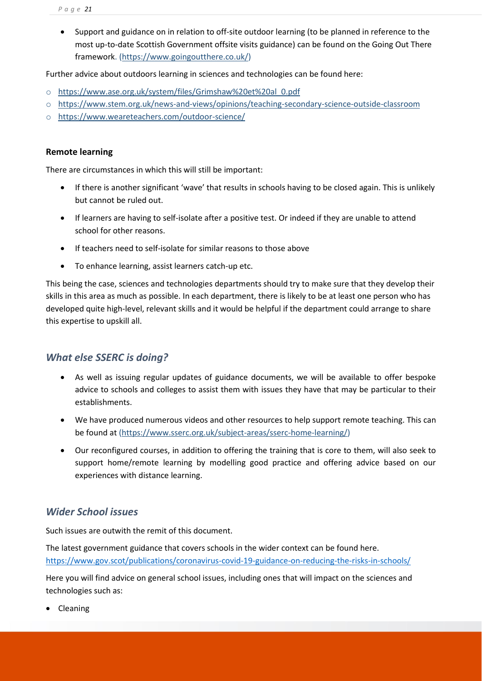• Support and guidance on in relation to off-site outdoor learning (to be planned in reference to the most up-to-date Scottish Government offsite visits guidance) can be found on the Going Out There framework. [\(https://www.goingoutthere.co.uk/\)](https://www.goingoutthere.co.uk/)

Further advice about outdoors learning in sciences and technologies can be found here:

- o [https://www.ase.org.uk/system/files/Grimshaw%20et%20al\\_0.pdf](https://www.ase.org.uk/system/files/Grimshaw%20et%20al_0.pdf)
- o <https://www.stem.org.uk/news-and-views/opinions/teaching-secondary-science-outside-classroom>
- o <https://www.weareteachers.com/outdoor-science/>

## **Remote learning**

There are circumstances in which this will still be important:

- If there is another significant 'wave' that results in schools having to be closed again. This is unlikely but cannot be ruled out.
- If learners are having to self-isolate after a positive test. Or indeed if they are unable to attend school for other reasons.
- If teachers need to self-isolate for similar reasons to those above
- To enhance learning, assist learners catch-up etc.

This being the case, sciences and technologies departments should try to make sure that they develop their skills in this area as much as possible. In each department, there is likely to be at least one person who has developed quite high-level, relevant skills and it would be helpful if the department could arrange to share this expertise to upskill all.

## <span id="page-20-0"></span>*What else SSERC is doing?*

- As well as issuing regular updates of guidance documents, we will be available to offer bespoke advice to schools and colleges to assist them with issues they have that may be particular to their establishments.
- We have produced numerous videos and other resources to help support remote teaching. This can be found at [\(https://www.sserc.org.uk/subject-areas/sserc-home-learning/\)](https://www.sserc.org.uk/subject-areas/sserc-home-learning/)
- Our reconfigured courses, in addition to offering the training that is core to them, will also seek to support home/remote learning by modelling good practice and offering advice based on our experiences with distance learning.

# <span id="page-20-1"></span>*Wider School issues*

Such issues are outwith the remit of this document.

The latest government guidance that covers schools in the wider context can be found here. <https://www.gov.scot/publications/coronavirus-covid-19-guidance-on-reducing-the-risks-in-schools/>

Here you will find advice on general school issues, including ones that will impact on the sciences and technologies such as:

• Cleaning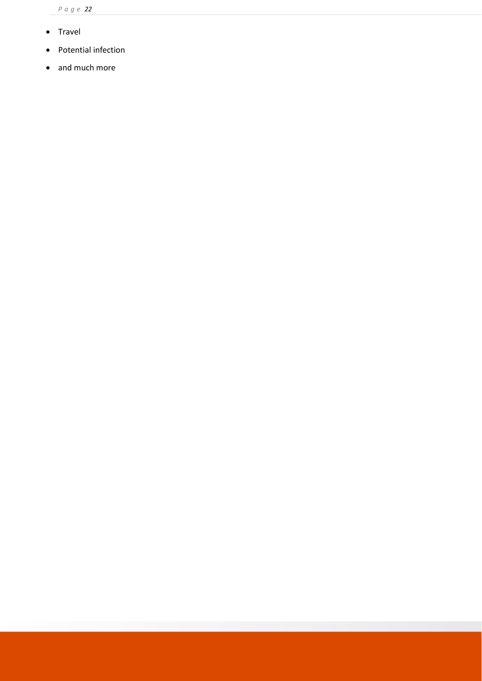- Travel
- Potential infection
- and much more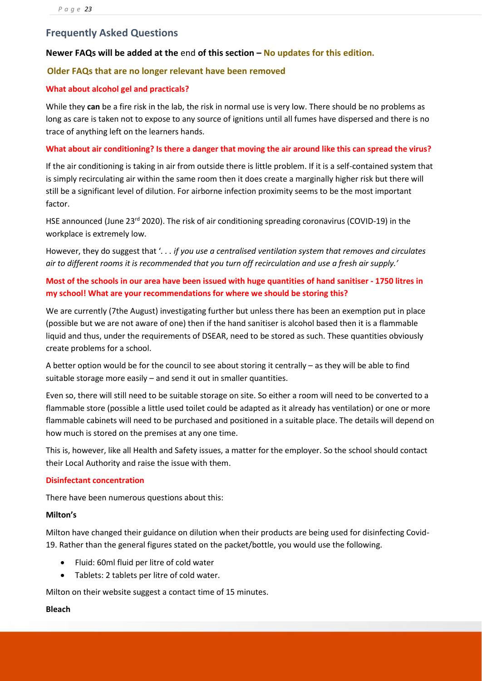## <span id="page-22-0"></span>**Frequently Asked Questions**

## **Newer FAQs will be added at the** end **of this section – No updates for this edition.**

#### **Older FAQs that are no longer relevant have been removed**

#### **What about alcohol gel and practicals?**

While they **can** be a fire risk in the lab, the risk in normal use is very low. There should be no problems as long as care is taken not to expose to any source of ignitions until all fumes have dispersed and there is no trace of anything left on the learners hands.

#### **What about air conditioning? Is there a danger that moving the air around like this can spread the virus?**

If the air conditioning is taking in air from outside there is little problem. If it is a self-contained system that is simply recirculating air within the same room then it does create a marginally higher risk but there will still be a significant level of dilution. For airborne infection proximity seems to be the most important factor.

HSE announced (June 23<sup>rd</sup> 2020). The risk of air conditioning spreading coronavirus (COVID-19) in the workplace is extremely low.

However, they do suggest that '*. . . if you use a centralised ventilation system that removes and circulates air to different rooms it is recommended that you turn off recirculation and use a fresh air supply.'*

## **Most of the schools in our area have been issued with huge quantities of hand sanitiser - 1750 litres in my school! What are your recommendations for where we should be storing this?**

We are currently (7the August) investigating further but unless there has been an exemption put in place (possible but we are not aware of one) then if the hand sanitiser is alcohol based then it is a flammable liquid and thus, under the requirements of DSEAR, need to be stored as such. These quantities obviously create problems for a school.

A better option would be for the council to see about storing it centrally – as they will be able to find suitable storage more easily – and send it out in smaller quantities.

Even so, there will still need to be suitable storage on site. So either a room will need to be converted to a flammable store (possible a little used toilet could be adapted as it already has ventilation) or one or more flammable cabinets will need to be purchased and positioned in a suitable place. The details will depend on how much is stored on the premises at any one time.

This is, however, like all Health and Safety issues, a matter for the employer. So the school should contact their Local Authority and raise the issue with them.

#### **Disinfectant concentration**

There have been numerous questions about this:

#### **Milton's**

Milton have changed their guidance on dilution when their products are being used for disinfecting Covid-19. Rather than the general figures stated on the packet/bottle, you would use the following.

- Fluid: 60ml fluid per litre of cold water
- Tablets: 2 tablets per litre of cold water.

Milton on their website suggest a contact time of 15 minutes.

#### **Bleach**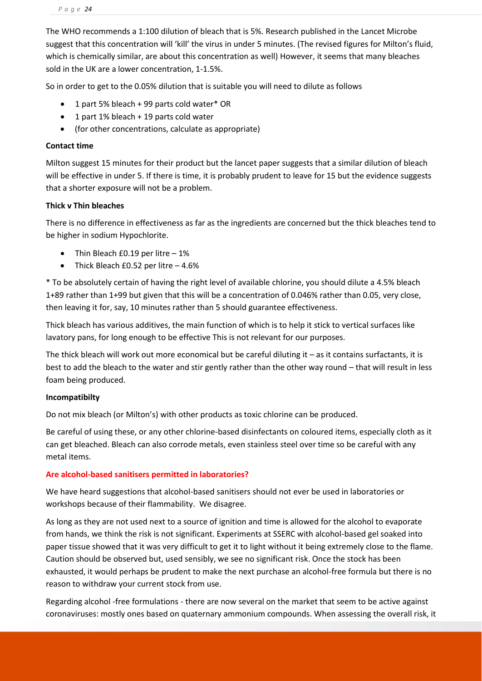The WHO recommends a 1:100 dilution of bleach that is 5%. Research published in the Lancet Microbe suggest that this concentration will 'kill' the virus in under 5 minutes. (The revised figures for Milton's fluid, which is chemically similar, are about this concentration as well) However, it seems that many bleaches sold in the UK are a lower concentration, 1-1.5%.

So in order to get to the 0.05% dilution that is suitable you will need to dilute as follows

- 1 part 5% bleach + 99 parts cold water\* OR
- 1 part 1% bleach + 19 parts cold water
- (for other concentrations, calculate as appropriate)

#### **Contact time**

Milton suggest 15 minutes for their product but the lancet paper suggests that a similar dilution of bleach will be effective in under 5. If there is time, it is probably prudent to leave for 15 but the evidence suggests that a shorter exposure will not be a problem.

## **Thick v Thin bleaches**

There is no difference in effectiveness as far as the ingredients are concerned but the thick bleaches tend to be higher in sodium Hypochlorite.

- Thin Bleach £0.19 per litre 1%
- Thick Bleach £0.52 per litre 4.6%

\* To be absolutely certain of having the right level of available chlorine, you should dilute a 4.5% bleach 1+89 rather than 1+99 but given that this will be a concentration of 0.046% rather than 0.05, very close, then leaving it for, say, 10 minutes rather than 5 should guarantee effectiveness.

Thick bleach has various additives, the main function of which is to help it stick to vertical surfaces like lavatory pans, for long enough to be effective This is not relevant for our purposes.

The thick bleach will work out more economical but be careful diluting it – as it contains surfactants, it is best to add the bleach to the water and stir gently rather than the other way round – that will result in less foam being produced.

#### **Incompatibilty**

Do not mix bleach (or Milton's) with other products as toxic chlorine can be produced.

Be careful of using these, or any other chlorine-based disinfectants on coloured items, especially cloth as it can get bleached. Bleach can also corrode metals, even stainless steel over time so be careful with any metal items.

## **Are alcohol-based sanitisers permitted in laboratories?**

We have heard suggestions that alcohol-based sanitisers should not ever be used in laboratories or workshops because of their flammability. We disagree.

As long as they are not used next to a source of ignition and time is allowed for the alcohol to evaporate from hands, we think the risk is not significant. Experiments at SSERC with alcohol-based gel soaked into paper tissue showed that it was very difficult to get it to light without it being extremely close to the flame. Caution should be observed but, used sensibly, we see no significant risk. Once the stock has been exhausted, it would perhaps be prudent to make the next purchase an alcohol-free formula but there is no reason to withdraw your current stock from use.

Regarding alcohol -free formulations - there are now several on the market that seem to be active against coronaviruses: mostly ones based on quaternary ammonium compounds. When assessing the overall risk, it